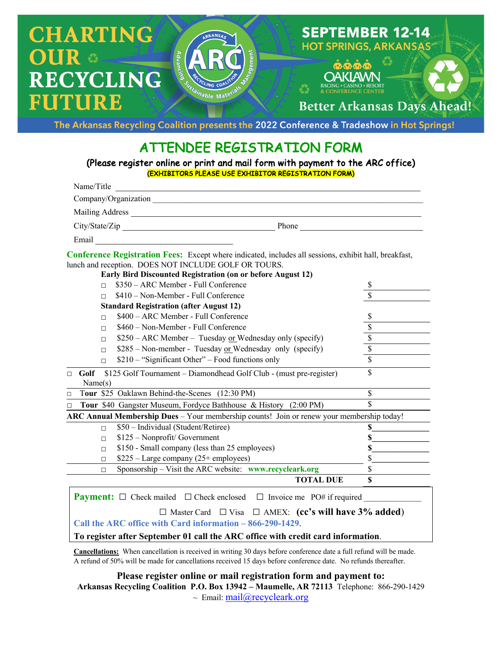

The Arkansas Recycling Coalition presents the 2022 Conference & Tradeshow in Hot Springs!

## ATTENDEE REGISTRATION FORM

(Please register online or print and mail form with payment to the ARC office) (EXHIBITORS PLEASE USE EXHIBITOR REGISTRATION FORM)

| Name/Title                                                                                                                                                                                                                                 |                         |
|--------------------------------------------------------------------------------------------------------------------------------------------------------------------------------------------------------------------------------------------|-------------------------|
|                                                                                                                                                                                                                                            |                         |
|                                                                                                                                                                                                                                            |                         |
| City/State/Zip<br>Phone                                                                                                                                                                                                                    |                         |
| Email                                                                                                                                                                                                                                      |                         |
| <b>Conference Registration Fees:</b> Except where indicated, includes all sessions, exhibit hall, breakfast,<br>lunch and reception. DOES NOT INCLUDE GOLF OR TOURS.<br><b>Early Bird Discounted Registration (on or before August 12)</b> |                         |
| \$350 - ARC Member - Full Conference<br>$\Box$                                                                                                                                                                                             | \$                      |
| \$410 – Non-Member - Full Conference<br>$\Box$                                                                                                                                                                                             |                         |
| <b>Standard Registration (after August 12)</b>                                                                                                                                                                                             |                         |
| \$400 - ARC Member - Full Conference<br>$\Box$                                                                                                                                                                                             | \$                      |
| \$460 – Non-Member - Full Conference<br>п                                                                                                                                                                                                  | \$                      |
| $$250 - ARC$ Member – Tuesday or Wednesday only (specify)<br>П                                                                                                                                                                             | $\overline{\mathbb{S}}$ |
| $$285 - Non-member - Tuesday or Wednesday only (specific)$<br>$\Box$                                                                                                                                                                       | $\sqrt{\frac{1}{2}}$    |
| \$210 – "Significant Other" – Food functions only<br>П                                                                                                                                                                                     | $\overline{\$}$         |
| \$125 Golf Tournament - Diamondhead Golf Club - (must pre-register)<br>Golf<br>$\Box$<br>Name(s)                                                                                                                                           | \$                      |
| Tour \$25 Oaklawn Behind-the-Scenes (12:30 PM)<br>$\Box$                                                                                                                                                                                   | \$                      |
| Tour \$40 Gangster Museum, Fordyce Bathhouse & History (2:00 PM)<br>$\Box$                                                                                                                                                                 | \$                      |
| ARC Annual Membership Dues - Your membership counts! Join or renew your membership today!                                                                                                                                                  |                         |
| \$50 - Individual (Student/Retiree)<br>$\Box$                                                                                                                                                                                              | \$                      |
| \$125 - Nonprofit/ Government<br>$\Box$                                                                                                                                                                                                    | \$                      |
| \$150 - Small company (less than 25 employees)<br>п                                                                                                                                                                                        | \$                      |
| \$225 – Large company (25+ employees)<br>п                                                                                                                                                                                                 | \$                      |
| Sponsorship - Visit the ARC website: www.recycleark.org<br>$\Box$                                                                                                                                                                          | \$                      |
| <b>TOTAL DUE</b>                                                                                                                                                                                                                           | \$                      |

## **Payment:**  $\Box$  Check mailed  $\Box$  Check enclosed  $\Box$  Invoice me PO# if required

□ Master Card □ Visa □ AMEX: **(cc's will have 3% added**)

**Call the ARC office with Card information – 866-290-1429**.

**To register after September 01 call the ARC office with credit card information**.

**Cancellations:** When cancellation is received in writing 30 days before conference date a full refund will be made. A refund of 50% will be made for cancellations received 15 days before conference date. No refunds thereafter.

**Please register online or mail registration form and payment to: Arkansas Recycling Coalition P.O. Box 13942 – Maumelle, AR 72113** Telephone: 866-290-1429  $\sim$  Email: mail@recycleark.org